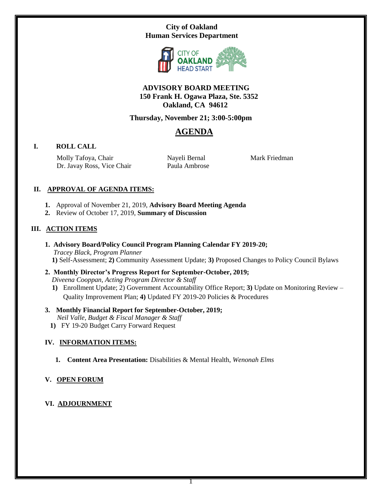# **City of Oakland Human Services Department**



# **ADVISORY BOARD MEETING 150 Frank H. Ogawa Plaza, Ste. 5352 Oakland, CA 94612**

# **Thursday, November 21; 3:00-5:00pm**

# **AGENDA**

# **I. ROLL CALL**

Molly Tafoya, Chair Dr. Javay Ross, Vice Chair  Nayeli Bernal Paula Ambrose Mark Friedman

# **II. APPROVAL OF AGENDA ITEMS:**

- **1.** Approval of November 21, 2019, **Advisory Board Meeting Agenda**
- **2.** Review of October 17, 2019, **Summary of Discussion**

# **III. ACTION ITEMS**

- **1. Advisory Board/Policy Council Program Planning Calendar FY 2019-20;**  *Tracey Black, Program Planner*  **1)** Self-Assessment; **2)** Community Assessment Update; **3)** Proposed Changes to Policy Council Bylaws
- **2. Monthly Director's Progress Report for September-October, 2019;**   *Diveena Cooppan, Acting Program Director & Staff*
	- **1)** Enrollment Update; 2) Government Accountability Office Report; **3)** Update on Monitoring Review Quality Improvement Plan; **4)** Updated FY 2019-20 Policies & Procedures

# **3. Monthly Financial Report for September-October, 2019;**   *Neil Valle, Budget & Fiscal Manager & Staff*

**1)** FY 19-20 Budget Carry Forward Request

# **IV. INFORMATION ITEMS:**

 **1. Content Area Presentation:** Disabilities & Mental Health, *Wenonah Elms*

# **V. OPEN FORUM**

# **VI. ADJOURNMENT**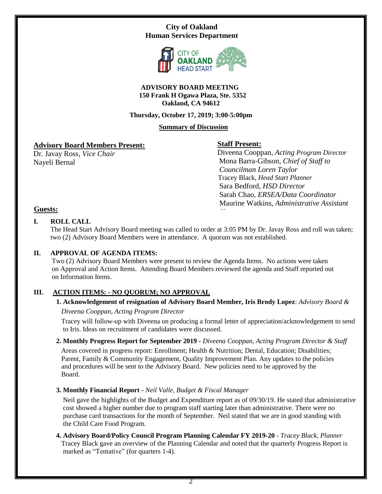# **City of Oakland Human Services Department**



#### **ADVISORY BOARD MEETING 150 Frank H Ogawa Plaza, Ste. 5352 Oakland, CA 94612**

#### **Thursday, October 17, 2019; 3:00-5:00pm**

#### **Summary of Discussion**

# **Advisory Board Members Present:**

Dr. Javay Ross, *Vice Chair* Nayeli Bernal

# **Staff Present:**

 Diveena Cooppan, *Acting Program Director* Mona Barra-Gibson, *Chief of Staff to Councilman Loren Taylor* Tracey Black, *Head Start Planner* Sara Bedford, *HSD Director* Sarah Chao, *ERSEA/Data Coordinator* Maurine Watkins, *Administrative Assistant* 

# **Guests:**

# **I. ROLL CALL**

The Head Start Advisory Board meeting was called to order at 3:05 PM by Dr. Javay Ross and roll was taken; two (2) Advisory Board Members were in attendance. A quorum was not established.

# **II. APPROVAL OF AGENDA ITEMS:**

 Two (2) Advisory Board Members were present to review the Agenda Items. No actions were taken on Approval and Action Items. Attending Board Members reviewed the agenda and Staff reported out on Information Items.

# **III. ACTION ITEMS: - NO QUORUM; NO APPROVAL**

# **1. Acknowledgement of resignation of Advisory Board Member, Iris Brody Lopez**: *Advisory Board &*

 *Diveena Cooppan, Acting Program Director* 

 Tracey will follow-up with Diveena on producing a formal letter of appreciation/acknowledgement to send to Iris. Ideas on recruitment of candidates were discussed.

# **2. Monthly Progress Report for September 2019 -** *Diveena Cooppan, Acting Program Director & Staff*

Areas covered in progress report: Enrollment; Health & Nutrition; Dental, Education; Disabilities; Parent, Family & Community Engagement, Quality Improvement Plan. Any updates to the policies and procedures will be sent to the Advisory Board. New policies need to be approved by the Board.

**3. Monthly Financial Report -** *Neil Valle, Budget & Fiscal Manager*

Neil gave the highlights of the Budget and Expenditure report as of 09/30/19. He stated that administrative cost showed a higher number due to program staff starting later than administrative. There were no purchase card transactions for the month of September. Neil stated that we are in good standing with the Child Care Food Program.

**4. Advisory Board/Policy Council Program Planning Calendar FY 2019-20** - *Tracey Black, Planner*  Tracey Black gave an overview of the Planning Calendar and noted that the quarterly Progress Report is marked as "Tentative" (for quarters 1-4).